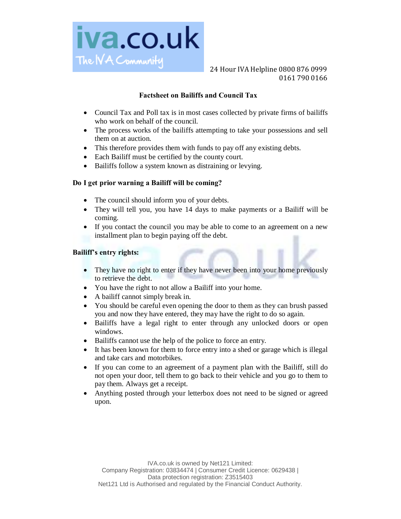

# **Factsheet on Bailiffs and Council Tax**

- Council Tax and Poll tax is in most cases collected by private firms of bailiffs who work on behalf of the council.
- The process works of the bailiffs attempting to take your possessions and sell them on at auction.
- · This therefore provides them with funds to pay off any existing debts.
- · Each Bailiff must be certified by the county court.
- Bailiffs follow a system known as distraining or levying.

#### **Do I get prior warning a Bailiff will be coming?**

- The council should inform you of your debts.
- They will tell you, you have 14 days to make payments or a Bailiff will be coming.
- · If you contact the council you may be able to come to an agreement on a new installment plan to begin paying off the debt.

#### **Bailiff's entry rights:**

- They have no right to enter if they have never been into your home previously to retrieve the debt.
- · You have the right to not allow a Bailiff into your home.
- · A bailiff cannot simply break in.
- · You should be careful even opening the door to them as they can brush passed you and now they have entered, they may have the right to do so again.
- Bailiffs have a legal right to enter through any unlocked doors or open windows.
- · Bailiffs cannot use the help of the police to force an entry.
- It has been known for them to force entry into a shed or garage which is illegal and take cars and motorbikes.
- · If you can come to an agreement of a payment plan with the Bailiff, still do not open your door, tell them to go back to their vehicle and you go to them to pay them. Always get a receipt.
- Anything posted through your letterbox does not need to be signed or agreed upon.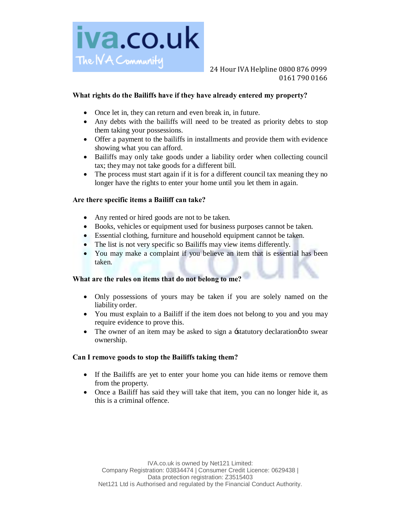

# **What rights do the Bailiffs have if they have already entered my property?**

- Once let in, they can return and even break in, in future.
- · Any debts with the bailiffs will need to be treated as priority debts to stop them taking your possessions.
- Offer a payment to the bailiffs in installments and provide them with evidence showing what you can afford.
- · Bailiffs may only take goods under a liability order when collecting council tax; they may not take goods for a different bill.
- The process must start again if it is for a different council tax meaning they no longer have the rights to enter your home until you let them in again.

## **Are there specific items a Bailiff can take?**

- Any rented or hired goods are not to be taken.
- · Books, vehicles or equipment used for business purposes cannot be taken.
- Essential clothing, furniture and household equipment cannot be taken.
- The list is not very specific so Bailiffs may view items differently.
- You may make a complaint if you believe an item that is essential has been taken.

# **What are the rules on items that do not belong to me?**

- · Only possessions of yours may be taken if you are solely named on the liability order.
- You must explain to a Bailiff if the item does not belong to you and you may require evidence to prove this.
- The owner of an item may be asked to sign a  $\pm$ statutory declaration  $\phi$  to swear ownership.

#### **Can I remove goods to stop the Bailiffs taking them?**

- · If the Bailiffs are yet to enter your home you can hide items or remove them from the property.
- · Once a Bailiff has said they will take that item, you can no longer hide it, as this is a criminal offence.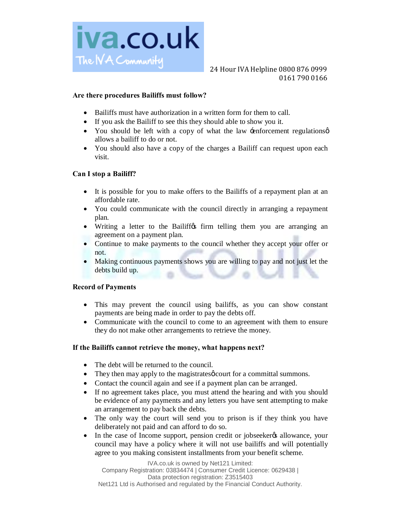

#### **Are there procedures Bailiffs must follow?**

- Bailiffs must have authorization in a written form for them to call.
- · If you ask the Bailiff to see this they should able to show you it.
- You should be left with a copy of what the law -enforcement regulations  $\phi$ allows a bailiff to do or not.
- · You should also have a copy of the charges a Bailiff can request upon each visit.

## **Can I stop a Bailiff?**

- · It is possible for you to make offers to the Bailiffs of a repayment plan at an affordable rate.
- You could communicate with the council directly in arranging a repayment plan.
- Writing a letter to the Bailiffos firm telling them you are arranging an agreement on a payment plan.
- · Continue to make payments to the council whether they accept your offer or not.
- · Making continuous payments shows you are willing to pay and not just let the debts build up.

#### **Record of Payments**

- · This may prevent the council using bailiffs, as you can show constant payments are being made in order to pay the debts off.
- Communicate with the council to come to an agreement with them to ensure they do not make other arrangements to retrieve the money.

#### **If the Bailiffs cannot retrieve the money, what happens next?**

- The debt will be returned to the council.
- They then may apply to the magistrates of court for a committal summons.
- Contact the council again and see if a payment plan can be arranged.
- If no agreement takes place, you must attend the hearing and with you should be evidence of any payments and any letters you have sent attempting to make an arrangement to pay back the debts.
- The only way the court will send you to prison is if they think you have deliberately not paid and can afford to do so.
- In the case of Income support, pension credit or jobseekergs allowance, your council may have a policy where it will not use bailiffs and will potentially agree to you making consistent installments from your benefit scheme.